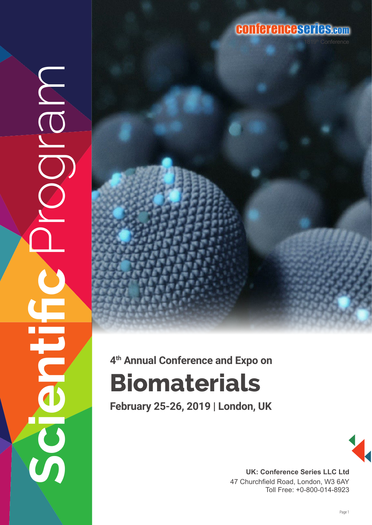## conferenceseries.com

# **Biomaterials 4th Annual Conference and Expo on**

**Scientific** Program

 $\overline{S}$ 

NOIC<br>O

**February 25-26, 2019 | London, UK**



**UK: Conference Series LLC Ltd** 47 Churchfield Road, London, W3 6AY Toll Free: +0-800-014-8923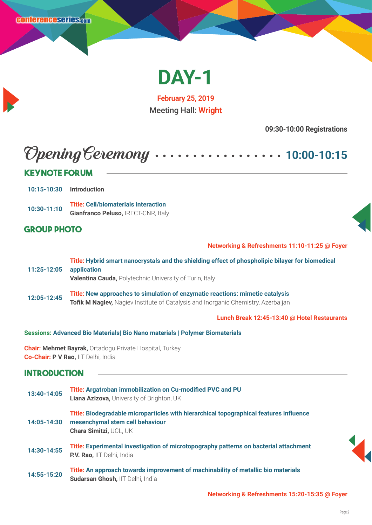

**February 25, 2019** Meeting Hall: **Wright**

**09:30-10:00 Registrations**

# Opening Ceremony **10:00-10:15**

#### **Keynote Forum**

**10:15-10:30 Introduction**

**10:30-11:10 Title: Cell/biomaterials interaction Gianfranco Peluso, IRECT-CNR, Italy** 

#### **Group Photo**

**Networking & Refreshments 11:10-11:25 @ Foyer**

**11:25-12:05 Title: Hybrid smart nanocrystals and the shielding effect of phospholipic bilayer for biomedical application Valentina Cauda,** Polytechnic University of Turin, Italy **12:05-12:45 Title: New approaches to simulation of enzymatic reactions: mimetic catalysis**

**Tofik M Nagiev, Nagiev Institute of Catalysis and Inorganic Chemistry, Azerbaijan** 

**Lunch Break 12:45-13:40 @ Hotel Restaurants** 

#### **Sessions: Advanced Bio Materials| Bio Nano materials | Polymer Biomaterials**

**Chair: Mehmet Bayrak,** Ortadogu Private Hospital, Turkey **Co-Chair: P V Rao,** IIT Delhi, India

**Sudarsan Ghosh,** IIT Delhi, India

#### **Introduction**

**13:40-14:05 Title: Argatroban immobilization on Cu-modified PVC and PU Liana Azizova,** University of Brighton, UK **14:05-14:30 Title: Biodegradable microparticles with hierarchical topographical features influence mesenchymal stem cell behaviour Chara Simitzi,** UCL, UK **14:30-14:55 Title: Experimental investigation of microtopography patterns on bacterial attachment P.V. Rao,** IIT Delhi, India **14:55-15:20 Title: An approach towards improvement of machinability of metallic bio materials**



**Networking & Refreshments 15:20-15:35 @ Foyer**